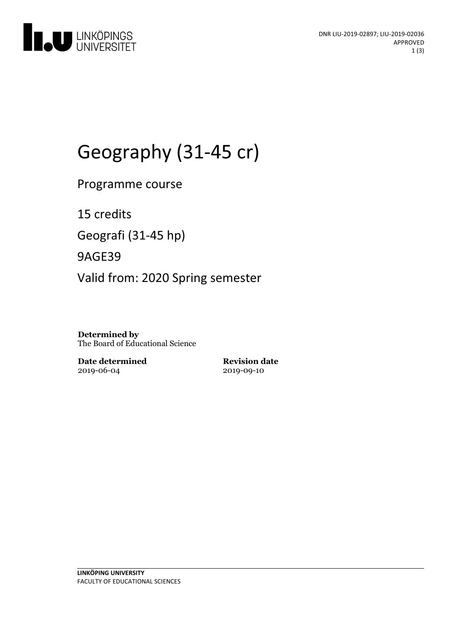

# Geography (31-45 cr)

Programme course

15 credits

Geografi (31-45 hp)

9AGE39

Valid from: 2020 Spring semester

**Determined by** The Board of Educational Science

**Date determined** 2019-06-04

**Revision date** 2019-09-10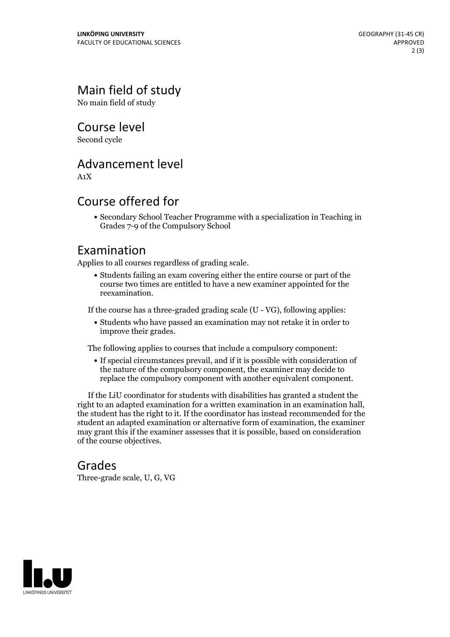## Main field of study

No main field of study

Course level

Second cycle

#### Advancement level

A1X

#### Course offered for

Secondary School Teacher Programme with a specialization in Teaching in Grades 7-9 of the Compulsory School

#### Examination

Applies to all courses regardless of grading scale.

Students failing an exam covering either the entire course or part of the course two times are entitled to have a new examiner appointed for the reexamination.

If the course has a three-graded grading scale (U - VG), following applies:

Students who have passed an examination may not retake it in order to improve their grades.

The following applies to courses that include a compulsory component:

If special circumstances prevail, and if it is possible with consideration of the nature of the compulsory component, the examiner may decide to replace the compulsory component with another equivalent component.

If the LiU coordinator for students with disabilities has granted a student the right to an adapted examination for <sup>a</sup> written examination in an examination hall, the student has the right to it. If the coordinator has instead recommended for the student an adapted examination or alternative form of examination, the examiner may grant this if the examiner assesses that it is possible, based on consideration of the course objectives.

#### Grades

Three-grade scale, U, G, VG